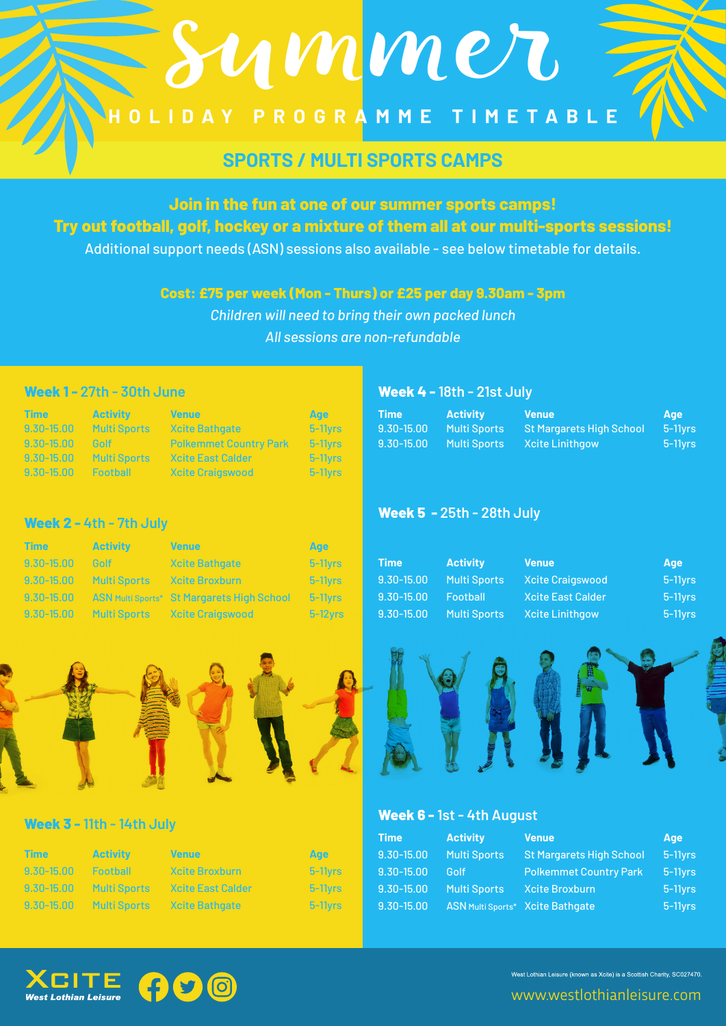# **HOLIDAY PROGR AMME TIMETABLE**

summer

# **SPORTS / MULTI SPORTS CAMPS**

### **Join in the fun at one of our summer sports camps! Try out football, golf, hockey or a mixture of them all at our multi-sports sessions!**

Additional support needs (ASN) sessions also available - see below timetable for details.

#### **Cost: £75 per week (Mon - Thurs) or £25 per day 9.30am - 3pm**

*Children will need to bring their own packed lunch All sessions are non-refundable*

#### **Week 1 - 27th - 30th June Week 4 - 18th - 21st July**

| <b>Time</b>    | <b>Activity</b>     | <b>Venue</b>                  | Age                   |
|----------------|---------------------|-------------------------------|-----------------------|
| $9,30 - 15,00$ | <b>Multi Sports</b> | <b>Xcite Bathgate</b>         | $5-11$ <sub>Vrs</sub> |
| $9,30 - 15,00$ | Golf                | <b>Polkemmet Country Park</b> | $5-11$ <sub>Vrs</sub> |
| $9,30 - 15,00$ | <b>Multi Sports</b> | <b>Xcite East Calder</b>      | $5-11$ <sub>Vrs</sub> |
| $9,30 - 15,00$ | <b>Football</b>     | <b>Xcite Craigswood</b>       | $5-11$ <sub>Vrs</sub> |

**Week 5 - 25th - 28th July**

**Week 6 - 1st - 4th August**

| <b>Time</b>    | <b>Activity</b>     | <b>Venue</b>                    | Age     |
|----------------|---------------------|---------------------------------|---------|
| $9.30 - 15.00$ | <b>Multi Sports</b> | <b>St Margarets High School</b> | 5-11yrs |
| $9.30 - 15.00$ | <b>Multi Sports</b> | Xcite Linithgow                 | 5-11yrs |

#### **Week 2 - 4th - 7th July**

| <b>Time /</b> | <b>Activity</b>         | <b>Venue</b>                                          | Age              |          |                                          |         |
|---------------|-------------------------|-------------------------------------------------------|------------------|----------|------------------------------------------|---------|
| $9,30-15,00$  | - Golf                  | Xcite Bathgate                                        | $5-11$ vrs       | Activity | Venue                                    | Age     |
|               | 9.30-15.00 Multi Sports | <b>Xcite Broxburn</b>                                 | 5-11vrs <b>1</b> |          | 9.30-15.00 Multi Sports Xcite Craigswood | 5-11yrs |
|               |                         | 9.30-15.00 ASN Multi Sports* St Margarets High School | $5-11$ vrs       |          | 9.30-15.00 Football Xcite East Calder    | $5-11$  |
|               |                         | 9.30-15.00 Multi Sports Xcite Craigswood              | $-5-12$ vrs      |          | 9.30-15.00 Multi Sports Xcite Linithgow  | $5-11$  |



#### **Week 3 - 11th - 14th July**

|                |                 |                                           |                        | <b>Time</b> | <b>Activity Activity</b>                    | Venue                                                    | <b>Age</b> |
|----------------|-----------------|-------------------------------------------|------------------------|-------------|---------------------------------------------|----------------------------------------------------------|------------|
| <b>Time</b>    | <b>Activity</b> | <b>Venue</b>                              | Age                    |             |                                             | 9.30-15.00 Multi Sports St Margarets High School 5-11yrs |            |
| $9,30 - 15,00$ | <b>Football</b> | <b>Xcite Broxburn</b>                     | $-5-11$ vrs            |             |                                             |                                                          |            |
|                |                 | 9.30-15.00 Multi Sports Xcite East Calder | $-5-11$ vrs            |             | 9.30-15.00 Multi Sports Xcite Broxburn      |                                                          | $5-11$ yrs |
|                |                 | 9.30-15.00 Multi Sports Xcite Bathgate    | $-5-11$ <sub>Vrs</sub> |             | 9.30-15.00 ASN Multi Sports* Xcite Bathgate |                                                          | $5-11$     |
|                |                 |                                           |                        |             |                                             |                                                          |            |



West Lothian Leisure (known as Xcite) is a Scottish Charity, SC027470.

 $5-11$ yrs

 $5-11$ yrs

www.westlothianleisure.com